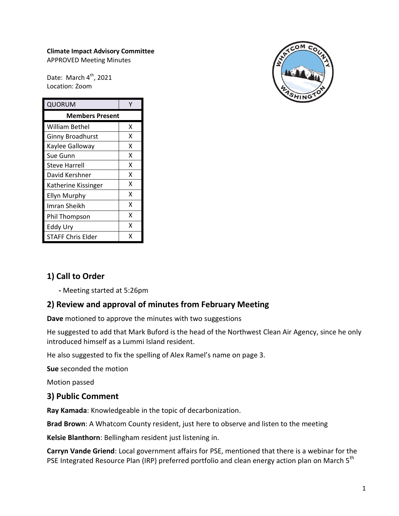#### **Climate Impact Advisory Committee** APPROVED Meeting Minutes

Date: March 4<sup>th</sup>, 2021 Location: Zoom

| QUORUM                   |   |
|--------------------------|---|
| <b>Members Present</b>   |   |
| William Bethel           | x |
| Ginny Broadhurst         | x |
| Kaylee Galloway          | x |
| Sue Gunn                 | X |
| <b>Steve Harrell</b>     | x |
| David Kershner           | X |
| Katherine Kissinger      | x |
| <b>Ellyn Murphy</b>      | X |
| Imran Sheikh             | x |
| Phil Thompson            | x |
| Eddy Ury                 | x |
| <b>STAFF Chris Elder</b> | x |



# **1) Call to Order**

**-** Meeting started at 5:26pm

### **2) Review and approval of minutes from February Meeting**

**Dave** motioned to approve the minutes with two suggestions

He suggested to add that Mark Buford is the head of the Northwest Clean Air Agency, since he only introduced himself as a Lummi Island resident.

He also suggested to fix the spelling of Alex Ramel's name on page 3.

**Sue** seconded the motion

Motion passed

#### **3) Public Comment**

**Ray Kamada**: Knowledgeable in the topic of decarbonization.

**Brad Brown**: A Whatcom County resident, just here to observe and listen to the meeting

**Kelsie Blanthorn**: Bellingham resident just listening in.

**Carryn Vande Griend**: Local government affairs for PSE, mentioned that there is a webinar for the PSE Integrated Resource Plan (IRP) preferred portfolio and clean energy action plan on March 5<sup>th</sup>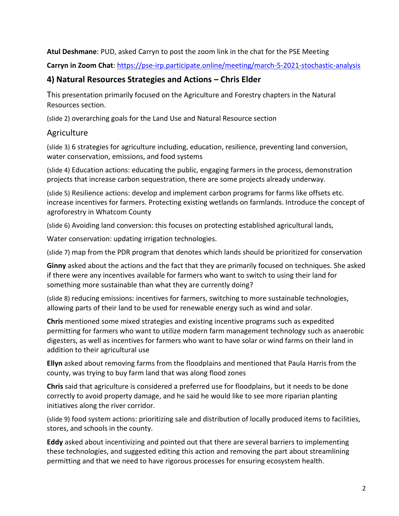#### **Atul Deshmane**: PUD, asked Carryn to post the zoom link in the chat for the PSE Meeting

**Carryn in Zoom Chat**[: https://pse-irp.participate.online/meeting/march-5-2021-stochastic-analysis](https://pse-irp.participate.online/meeting/march-5-2021-stochastic-analysis)

#### **4) Natural Resources Strategies and Actions – Chris Elder**

This presentation primarily focused on the Agriculture and Forestry chapters in the Natural Resources section.

(slide 2) overarching goals for the Land Use and Natural Resource section

#### **Agriculture**

(slide 3) 6 strategies for agriculture including, education, resilience, preventing land conversion, water conservation, emissions, and food systems

(slide 4) Education actions: educating the public, engaging farmers in the process, demonstration projects that increase carbon sequestration, there are some projects already underway.

(slide 5) Resilience actions: develop and implement carbon programs for farms like offsets etc. increase incentives for farmers. Protecting existing wetlands on farmlands. Introduce the concept of agroforestry in Whatcom County

(slide 6) Avoiding land conversion: this focuses on protecting established agricultural lands,

Water conservation: updating irrigation technologies.

(slide 7) map from the PDR program that denotes which lands should be prioritized for conservation

**Ginny** asked about the actions and the fact that they are primarily focused on techniques. She asked if there were any incentives available for farmers who want to switch to using their land for something more sustainable than what they are currently doing?

(slide 8) reducing emissions: incentives for farmers, switching to more sustainable technologies, allowing parts of their land to be used for renewable energy such as wind and solar.

**Chris** mentioned some mixed strategies and existing incentive programs such as expedited permitting for farmers who want to utilize modern farm management technology such as anaerobic digesters, as well as incentives for farmers who want to have solar or wind farms on their land in addition to their agricultural use

**Ellyn** asked about removing farms from the floodplains and mentioned that Paula Harris from the county, was trying to buy farm land that was along flood zones

**Chris** said that agriculture is considered a preferred use for floodplains, but it needs to be done correctly to avoid property damage, and he said he would like to see more riparian planting initiatives along the river corridor.

(slide 9) food system actions: prioritizing sale and distribution of locally produced items to facilities, stores, and schools in the county.

**Eddy** asked about incentivizing and pointed out that there are several barriers to implementing these technologies, and suggested editing this action and removing the part about streamlining permitting and that we need to have rigorous processes for ensuring ecosystem health.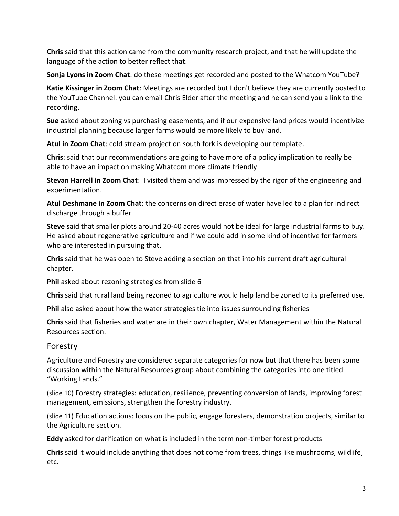**Chris** said that this action came from the community research project, and that he will update the language of the action to better reflect that.

**Sonja Lyons in Zoom Chat**: do these meetings get recorded and posted to the Whatcom YouTube?

**Katie Kissinger in Zoom Chat**: Meetings are recorded but I don't believe they are currently posted to the YouTube Channel. you can email Chris Elder after the meeting and he can send you a link to the recording.

**Sue** asked about zoning vs purchasing easements, and if our expensive land prices would incentivize industrial planning because larger farms would be more likely to buy land.

**Atul in Zoom Chat**: cold stream project on south fork is developing our template.

**Chris**: said that our recommendations are going to have more of a policy implication to really be able to have an impact on making Whatcom more climate friendly

**Stevan Harrell in Zoom Chat**: I visited them and was impressed by the rigor of the engineering and experimentation.

**Atul Deshmane in Zoom Chat**: the concerns on direct erase of water have led to a plan for indirect discharge through a buffer

**Steve** said that smaller plots around 20-40 acres would not be ideal for large industrial farms to buy. He asked about regenerative agriculture and if we could add in some kind of incentive for farmers who are interested in pursuing that.

**Chris** said that he was open to Steve adding a section on that into his current draft agricultural chapter.

**Phil** asked about rezoning strategies from slide 6

**Chris** said that rural land being rezoned to agriculture would help land be zoned to its preferred use.

**Phil** also asked about how the water strategies tie into issues surrounding fisheries

**Chris** said that fisheries and water are in their own chapter, Water Management within the Natural Resources section.

#### Forestry

Agriculture and Forestry are considered separate categories for now but that there has been some discussion within the Natural Resources group about combining the categories into one titled "Working Lands."

(slide 10) Forestry strategies: education, resilience, preventing conversion of lands, improving forest management, emissions, strengthen the forestry industry.

(slide 11) Education actions: focus on the public, engage foresters, demonstration projects, similar to the Agriculture section.

**Eddy** asked for clarification on what is included in the term non-timber forest products

**Chris** said it would include anything that does not come from trees, things like mushrooms, wildlife, etc.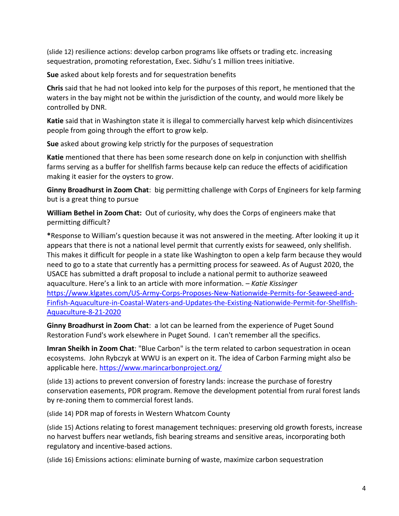(slide 12) resilience actions: develop carbon programs like offsets or trading etc. increasing sequestration, promoting reforestation, Exec. Sidhu's 1 million trees initiative.

**Sue** asked about kelp forests and for sequestration benefits

**Chris** said that he had not looked into kelp for the purposes of this report, he mentioned that the waters in the bay might not be within the jurisdiction of the county, and would more likely be controlled by DNR.

**Katie** said that in Washington state it is illegal to commercially harvest kelp which disincentivizes people from going through the effort to grow kelp.

**Sue** asked about growing kelp strictly for the purposes of sequestration

**Katie** mentioned that there has been some research done on kelp in conjunction with shellfish farms serving as a buffer for shellfish farms because kelp can reduce the effects of acidification making it easier for the oysters to grow.

**Ginny Broadhurst in Zoom Chat**: big permitting challenge with Corps of Engineers for kelp farming but is a great thing to pursue

**William Bethel in Zoom Chat:** Out of curiosity, why does the Corps of engineers make that permitting difficult?

**\***Response to William's question because it was not answered in the meeting. After looking it up it appears that there is not a national level permit that currently exists for seaweed, only shellfish. This makes it difficult for people in a state like Washington to open a kelp farm because they would need to go to a state that currently has a permitting process for seaweed. As of August 2020, the USACE has submitted a draft proposal to include a national permit to authorize seaweed aquaculture. Here's a link to an article with more information. *– Katie Kissinger* [https://www.klgates.com/US-Army-Corps-Proposes-New-Nationwide-Permits-for-Seaweed-and-](https://www.klgates.com/US-Army-Corps-Proposes-New-Nationwide-Permits-for-Seaweed-and-Finfish-Aquaculture-in-Coastal-Waters-and-Updates-the-Existing-Nationwide-Permit-for-Shellfish-Aquaculture-8-21-2020)[Finfish-Aquaculture-in-Coastal-Waters-and-Updates-the-Existing-Nationwide-Permit-for-Shellfish-](https://www.klgates.com/US-Army-Corps-Proposes-New-Nationwide-Permits-for-Seaweed-and-Finfish-Aquaculture-in-Coastal-Waters-and-Updates-the-Existing-Nationwide-Permit-for-Shellfish-Aquaculture-8-21-2020)[Aquaculture-8-21-2020](https://www.klgates.com/US-Army-Corps-Proposes-New-Nationwide-Permits-for-Seaweed-and-Finfish-Aquaculture-in-Coastal-Waters-and-Updates-the-Existing-Nationwide-Permit-for-Shellfish-Aquaculture-8-21-2020)

**Ginny Broadhurst in Zoom Chat**: a lot can be learned from the experience of Puget Sound Restoration Fund's work elsewhere in Puget Sound. I can't remember all the specifics.

**Imran Sheikh in Zoom Chat**: "Blue Carbon" is the term related to carbon sequestration in ocean ecosystems. John Rybczyk at WWU is an expert on it. The idea of Carbon Farming might also be applicable here.<https://www.marincarbonproject.org/>

(slide 13) actions to prevent conversion of forestry lands: increase the purchase of forestry conservation easements, PDR program. Remove the development potential from rural forest lands by re-zoning them to commercial forest lands.

(slide 14) PDR map of forests in Western Whatcom County

(slide 15) Actions relating to forest management techniques: preserving old growth forests, increase no harvest buffers near wetlands, fish bearing streams and sensitive areas, incorporating both regulatory and incentive-based actions.

(slide 16) Emissions actions: eliminate burning of waste, maximize carbon sequestration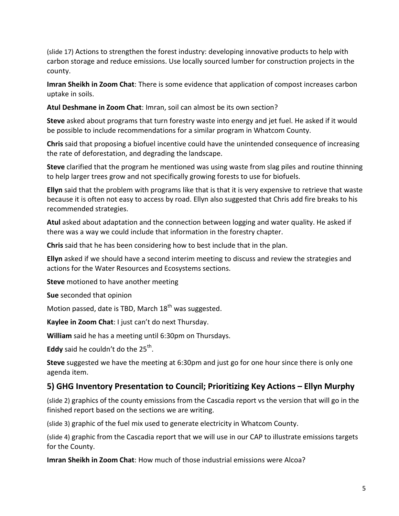(slide 17) Actions to strengthen the forest industry: developing innovative products to help with carbon storage and reduce emissions. Use locally sourced lumber for construction projects in the county.

**Imran Sheikh in Zoom Chat**: There is some evidence that application of compost increases carbon uptake in soils.

**Atul Deshmane in Zoom Chat**: Imran, soil can almost be its own section?

**Steve** asked about programs that turn forestry waste into energy and jet fuel. He asked if it would be possible to include recommendations for a similar program in Whatcom County.

**Chris** said that proposing a biofuel incentive could have the unintended consequence of increasing the rate of deforestation, and degrading the landscape.

**Steve** clarified that the program he mentioned was using waste from slag piles and routine thinning to help larger trees grow and not specifically growing forests to use for biofuels.

**Ellyn** said that the problem with programs like that is that it is very expensive to retrieve that waste because it is often not easy to access by road. Ellyn also suggested that Chris add fire breaks to his recommended strategies.

**Atul** asked about adaptation and the connection between logging and water quality. He asked if there was a way we could include that information in the forestry chapter.

**Chris** said that he has been considering how to best include that in the plan.

**Ellyn** asked if we should have a second interim meeting to discuss and review the strategies and actions for the Water Resources and Ecosystems sections.

**Steve** motioned to have another meeting

**Sue** seconded that opinion

Motion passed, date is TBD, March  $18<sup>th</sup>$  was suggested.

**Kaylee in Zoom Chat**: I just can't do next Thursday.

**William** said he has a meeting until 6:30pm on Thursdays.

**Eddy** said he couldn't do the 25<sup>th</sup>.

**Steve** suggested we have the meeting at 6:30pm and just go for one hour since there is only one agenda item.

### **5) GHG Inventory Presentation to Council; Prioritizing Key Actions – Ellyn Murphy**

(slide 2) graphics of the county emissions from the Cascadia report vs the version that will go in the finished report based on the sections we are writing.

(slide 3) graphic of the fuel mix used to generate electricity in Whatcom County.

(slide 4) graphic from the Cascadia report that we will use in our CAP to illustrate emissions targets for the County.

**Imran Sheikh in Zoom Chat**: How much of those industrial emissions were Alcoa?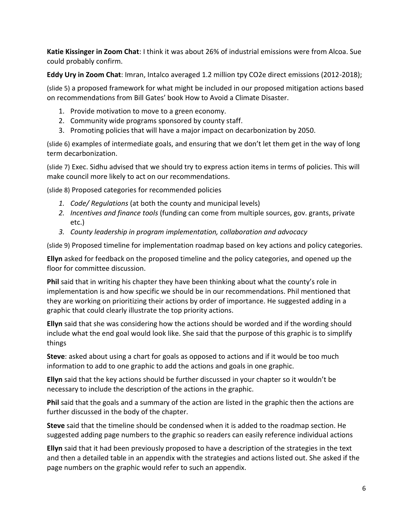**Katie Kissinger in Zoom Chat**: I think it was about 26% of industrial emissions were from Alcoa. Sue could probably confirm.

**Eddy Ury in Zoom Chat**: Imran, Intalco averaged 1.2 million tpy CO2e direct emissions (2012-2018);

(slide 5) a proposed framework for what might be included in our proposed mitigation actions based on recommendations from Bill Gates' book How to Avoid a Climate Disaster.

- 1. Provide motivation to move to a green economy.
- 2. Community wide programs sponsored by county staff.
- 3. Promoting policies that will have a major impact on decarbonization by 2050.

(slide 6) examples of intermediate goals, and ensuring that we don't let them get in the way of long term decarbonization.

(slide 7) Exec. Sidhu advised that we should try to express action items in terms of policies. This will make council more likely to act on our recommendations.

(slide 8) Proposed categories for recommended policies

- *1. Code/ Regulations* (at both the county and municipal levels)
- *2. Incentives and finance tools* (funding can come from multiple sources, gov. grants, private etc.)
- *3. County leadership in program implementation, collaboration and advocacy*

(slide 9) Proposed timeline for implementation roadmap based on key actions and policy categories.

**Ellyn** asked for feedback on the proposed timeline and the policy categories, and opened up the floor for committee discussion.

**Phil** said that in writing his chapter they have been thinking about what the county's role in implementation is and how specific we should be in our recommendations. Phil mentioned that they are working on prioritizing their actions by order of importance. He suggested adding in a graphic that could clearly illustrate the top priority actions.

**Ellyn** said that she was considering how the actions should be worded and if the wording should include what the end goal would look like. She said that the purpose of this graphic is to simplify things

**Steve**: asked about using a chart for goals as opposed to actions and if it would be too much information to add to one graphic to add the actions and goals in one graphic.

**Ellyn** said that the key actions should be further discussed in your chapter so it wouldn't be necessary to include the description of the actions in the graphic.

**Phil** said that the goals and a summary of the action are listed in the graphic then the actions are further discussed in the body of the chapter.

**Steve** said that the timeline should be condensed when it is added to the roadmap section. He suggested adding page numbers to the graphic so readers can easily reference individual actions

**Ellyn** said that it had been previously proposed to have a description of the strategies in the text and then a detailed table in an appendix with the strategies and actions listed out. She asked if the page numbers on the graphic would refer to such an appendix.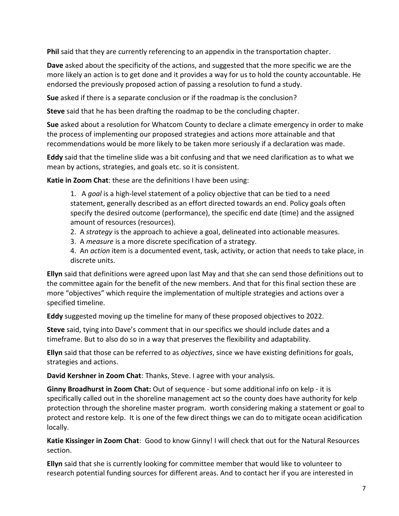**Phil** said that they are currently referencing to an appendix in the transportation chapter.

**Dave** asked about the specificity of the actions, and suggested that the more specific we are the more likely an action is to get done and it provides a way for us to hold the county accountable. He endorsed the previously proposed action of passing a resolution to fund a study.

**Sue** asked if there is a separate conclusion or if the roadmap is the conclusion?

**Steve** said that he has been drafting the roadmap to be the concluding chapter.

**Sue** asked about a resolution for Whatcom County to declare a climate emergency in order to make the process of implementing our proposed strategies and actions more attainable and that recommendations would be more likely to be taken more seriously if a declaration was made.

**Eddy** said that the timeline slide was a bit confusing and that we need clarification as to what we mean by actions, strategies, and goals etc. so it is consistent.

**Katie in Zoom Chat**: these are the definitions I have been using:

1. A *goal* is a high-level statement of a policy objective that can be tied to a need statement, generally described as an effort directed towards an end. Policy goals often specify the desired outcome (performance), the specific end date (time) and the assigned amount of resources (resources).

2. A *strategy* is the approach to achieve a goal, delineated into actionable measures.

3. A *measure* is a more discrete specification of a strategy.

4. An *action* item is a documented event, task, activity, or action that needs to take place, in discrete units.

**Ellyn** said that definitions were agreed upon last May and that she can send those definitions out to the committee again for the benefit of the new members. And that for this final section these are more "objectives" which require the implementation of multiple strategies and actions over a specified timeline.

**Eddy** suggested moving up the timeline for many of these proposed objectives to 2022.

**Steve** said, tying into Dave's comment that in our specifics we should include dates and a timeframe. But to also do so in a way that preserves the flexibility and adaptability.

**Ellyn** said that those can be referred to as *objectives*, since we have existing definitions for goals, strategies and actions.

**David Kershner in Zoom Chat**: Thanks, Steve. I agree with your analysis.

**Ginny Broadhurst in Zoom Chat:** Out of sequence - but some additional info on kelp - it is specifically called out in the shoreline management act so the county does have authority for kelp protection through the shoreline master program. worth considering making a statement or goal to protect and restore kelp. It is one of the few direct things we can do to mitigate ocean acidification locally.

**Katie Kissinger in Zoom Chat**: Good to know Ginny! I will check that out for the Natural Resources section.

**Ellyn** said that she is currently looking for committee member that would like to volunteer to research potential funding sources for different areas. And to contact her if you are interested in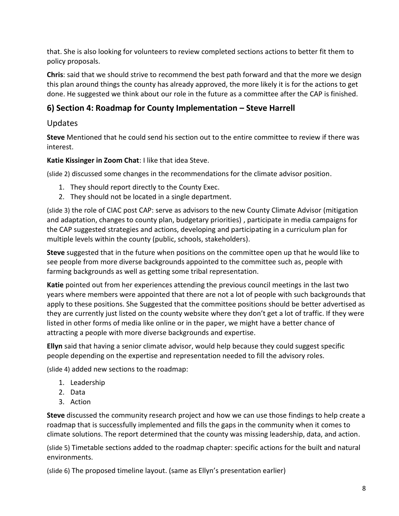that. She is also looking for volunteers to review completed sections actions to better fit them to policy proposals.

**Chris**: said that we should strive to recommend the best path forward and that the more we design this plan around things the county has already approved, the more likely it is for the actions to get done. He suggested we think about our role in the future as a committee after the CAP is finished.

# **6) Section 4: Roadmap for County Implementation – Steve Harrell**

## Updates

**Steve** Mentioned that he could send his section out to the entire committee to review if there was interest.

**Katie Kissinger in Zoom Chat**: I like that idea Steve.

(slide 2) discussed some changes in the recommendations for the climate advisor position.

- 1. They should report directly to the County Exec.
- 2. They should not be located in a single department.

(slide 3) the role of CIAC post CAP: serve as advisors to the new County Climate Advisor (mitigation and adaptation, changes to county plan, budgetary priorities) , participate in media campaigns for the CAP suggested strategies and actions, developing and participating in a curriculum plan for multiple levels within the county (public, schools, stakeholders).

**Steve** suggested that in the future when positions on the committee open up that he would like to see people from more diverse backgrounds appointed to the committee such as, people with farming backgrounds as well as getting some tribal representation.

**Katie** pointed out from her experiences attending the previous council meetings in the last two years where members were appointed that there are not a lot of people with such backgrounds that apply to these positions. She Suggested that the committee positions should be better advertised as they are currently just listed on the county website where they don't get a lot of traffic. If they were listed in other forms of media like online or in the paper, we might have a better chance of attracting a people with more diverse backgrounds and expertise.

**Ellyn** said that having a senior climate advisor, would help because they could suggest specific people depending on the expertise and representation needed to fill the advisory roles.

(slide 4) added new sections to the roadmap:

- 1. Leadership
- 2. Data
- 3. Action

**Steve** discussed the community research project and how we can use those findings to help create a roadmap that is successfully implemented and fills the gaps in the community when it comes to climate solutions. The report determined that the county was missing leadership, data, and action.

(slide 5) Timetable sections added to the roadmap chapter: specific actions for the built and natural environments.

(slide 6) The proposed timeline layout. (same as Ellyn's presentation earlier)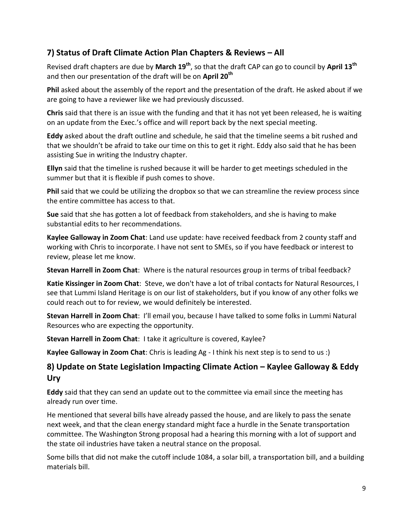# **7) Status of Draft Climate Action Plan Chapters & Reviews – All**

Revised draft chapters are due by **March 19th**, so that the draft CAP can go to council by **April 13th** and then our presentation of the draft will be on **April 20th**

**Phil** asked about the assembly of the report and the presentation of the draft. He asked about if we are going to have a reviewer like we had previously discussed.

**Chris** said that there is an issue with the funding and that it has not yet been released, he is waiting on an update from the Exec.'s office and will report back by the next special meeting.

**Eddy** asked about the draft outline and schedule, he said that the timeline seems a bit rushed and that we shouldn't be afraid to take our time on this to get it right. Eddy also said that he has been assisting Sue in writing the Industry chapter.

**Ellyn** said that the timeline is rushed because it will be harder to get meetings scheduled in the summer but that it is flexible if push comes to shove.

**Phil** said that we could be utilizing the dropbox so that we can streamline the review process since the entire committee has access to that.

**Sue** said that she has gotten a lot of feedback from stakeholders, and she is having to make substantial edits to her recommendations.

**Kaylee Galloway in Zoom Chat**: Land use update: have received feedback from 2 county staff and working with Chris to incorporate. I have not sent to SMEs, so if you have feedback or interest to review, please let me know.

**Stevan Harrell in Zoom Chat**: Where is the natural resources group in terms of tribal feedback?

**Katie Kissinger in Zoom Chat**: Steve, we don't have a lot of tribal contacts for Natural Resources, I see that Lummi Island Heritage is on our list of stakeholders, but if you know of any other folks we could reach out to for review, we would definitely be interested.

**Stevan Harrell in Zoom Chat**: I'll email you, because I have talked to some folks in Lummi Natural Resources who are expecting the opportunity.

**Stevan Harrell in Zoom Chat**: I take it agriculture is covered, Kaylee?

**Kaylee Galloway in Zoom Chat**: Chris is leading Ag - I think his next step is to send to us :)

### **8) Update on State Legislation Impacting Climate Action – Kaylee Galloway & Eddy Ury**

**Eddy** said that they can send an update out to the committee via email since the meeting has already run over time.

He mentioned that several bills have already passed the house, and are likely to pass the senate next week, and that the clean energy standard might face a hurdle in the Senate transportation committee. The Washington Strong proposal had a hearing this morning with a lot of support and the state oil industries have taken a neutral stance on the proposal.

Some bills that did not make the cutoff include 1084, a solar bill, a transportation bill, and a building materials bill.